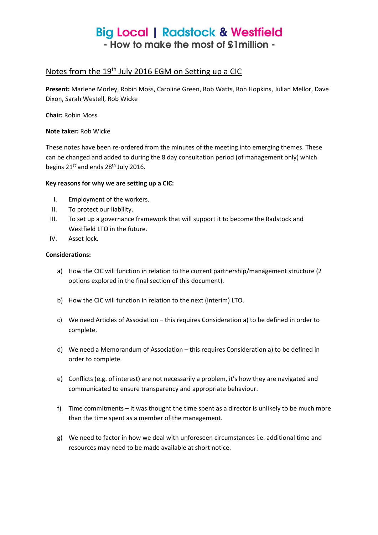### **Big Local | Radstock & Westfield**

- How to make the most of £1 million -

### Notes from the 19<sup>th</sup> July 2016 EGM on Setting up a CIC

**Present:** Marlene Morley, Robin Moss, Caroline Green, Rob Watts, Ron Hopkins, Julian Mellor, Dave Dixon, Sarah Westell, Rob Wicke

**Chair:** Robin Moss

**Note taker:** Rob Wicke

These notes have been re-ordered from the minutes of the meeting into emerging themes. These can be changed and added to during the 8 day consultation period (of management only) which begins  $21^{st}$  and ends  $28^{th}$  July 2016.

#### **Key reasons for why we are setting up a CIC:**

- I. Employment of the workers.
- II. To protect our liability.
- III. To set up a governance framework that will support it to become the Radstock and Westfield LTO in the future.
- IV. Asset lock.

#### **Considerations:**

- a) How the CIC will function in relation to the current partnership/management structure (2 options explored in the final section of this document).
- b) How the CIC will function in relation to the next (interim) LTO.
- c) We need Articles of Association this requires Consideration a) to be defined in order to complete.
- d) We need a Memorandum of Association this requires Consideration a) to be defined in order to complete.
- e) Conflicts (e.g. of interest) are not necessarily a problem, it's how they are navigated and communicated to ensure transparency and appropriate behaviour.
- f) Time commitments It was thought the time spent as a director is unlikely to be much more than the time spent as a member of the management.
- g) We need to factor in how we deal with unforeseen circumstances i.e. additional time and resources may need to be made available at short notice.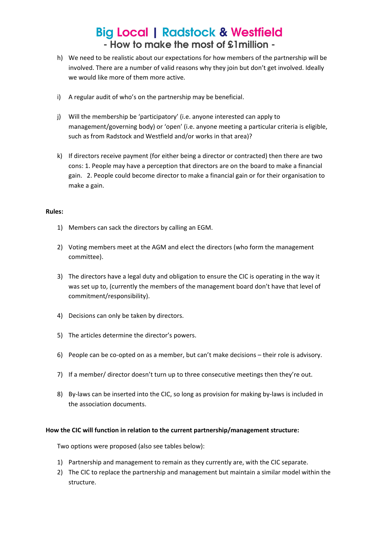### **Big Local | Radstock & Westfield** - How to make the most of £1 million -

- h) We need to be realistic about our expectations for how members of the partnership will be involved. There are a number of valid reasons why they join but don't get involved. Ideally we would like more of them more active.
- i) A regular audit of who's on the partnership may be beneficial.
- j) Will the membership be 'participatory' (i.e. anyone interested can apply to management/governing body) or 'open' (i.e. anyone meeting a particular criteria is eligible, such as from Radstock and Westfield and/or works in that area)?
- k) If directors receive payment (for either being a director or contracted) then there are two cons: 1. People may have a perception that directors are on the board to make a financial gain. 2. People could become director to make a financial gain or for their organisation to make a gain.

#### **Rules:**

- 1) Members can sack the directors by calling an EGM.
- 2) Voting members meet at the AGM and elect the directors (who form the management committee).
- 3) The directors have a legal duty and obligation to ensure the CIC is operating in the way it was set up to, (currently the members of the management board don't have that level of commitment/responsibility).
- 4) Decisions can only be taken by directors.
- 5) The articles determine the director's powers.
- 6) People can be co-opted on as a member, but can't make decisions their role is advisory.
- 7) If a member/ director doesn't turn up to three consecutive meetings then they're out.
- 8) By-laws can be inserted into the CIC, so long as provision for making by-laws is included in the association documents.

#### **How the CIC will function in relation to the current partnership/management structure:**

Two options were proposed (also see tables below):

- 1) Partnership and management to remain as they currently are, with the CIC separate.
- 2) The CIC to replace the partnership and management but maintain a similar model within the structure.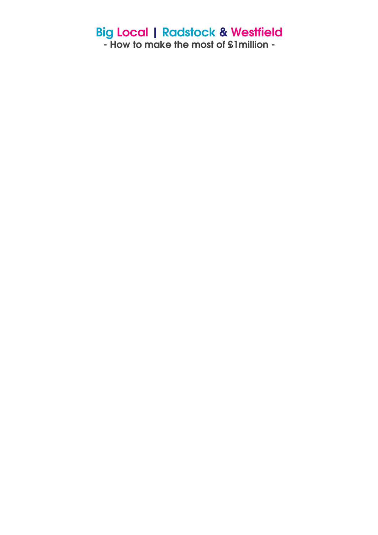# Big Local | Radstock & Westfield<br>- How to make the most of £1 million -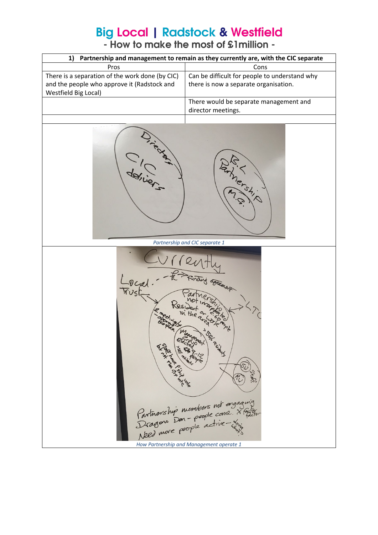# Big Local | Radstock & Westfield<br>- How to make the most of £1 million -

| Partnership and management to remain as they currently are, with the CIC separate<br>1)                                                                             |                                                                                        |
|---------------------------------------------------------------------------------------------------------------------------------------------------------------------|----------------------------------------------------------------------------------------|
| Pros                                                                                                                                                                | Cons                                                                                   |
| There is a separation of the work done (by CIC)<br>and the people who approve it (Radstock and<br>Westfield Big Local)                                              | Can be difficult for people to understand why<br>there is now a separate organisation. |
|                                                                                                                                                                     | There would be separate management and<br>director meetings.                           |
| de City<br>Mership<br>Partnership and CIC separate 1                                                                                                                |                                                                                        |
| Lpca<br>Manag<br>Partnership numbers not angaging<br>Deagon Don - people come. X refuge<br>Need more people active-wang<br>How Partnership and Management operate 1 |                                                                                        |